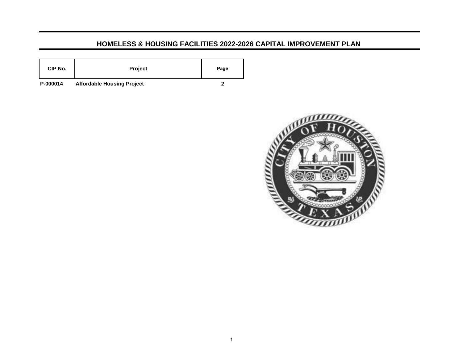## **HOMELESS & HOUSING FACILITIES 2022-2026 CAPITAL IMPROVEMENT PLAN**

| CIP No.  | Project             | Page                     |
|----------|---------------------|--------------------------|
| - ------ | $- - -$<br>.<br>___ | $\overline{\phantom{a}}$ |

**P-000014 Affordable Housing Project 2**